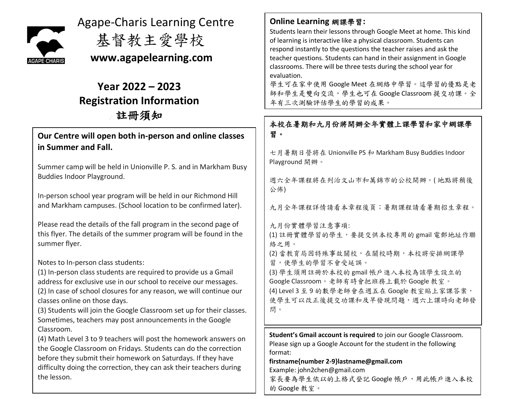

Agape-Charis Learning Centre

基督教主愛學校

 **www.agapelearning.com**

# **Year 2022 – 2023 Registration Information** 註冊須知

# **Our Centre will open both in-person and online classes in Summer and Fall.**

Summer camp will be held in Unionville P. S. and in Markham Busy Buddies Indoor Playground.

In-person school year program will be held in our Richmond Hill and Markham campuses. (School location to be confirmed later).

Please read the details of the fall program in the second page of this flyer. The details of the summer program will be found in the summer flyer.

Notes to In-person class students:

(1) In-person class students are required to provide us a Gmail address for exclusive use in our school to receive our messages. (2) In case of school closures for any reason, we will continue our classes online on those days.

(3) Students will join the Google Classroom set up for their classes. Sometimes, teachers may post announcements in the Google Classroom.

(4) Math Level 3 to 9 teachers will post the homework answers on the Google Classroom on Fridays. Students can do the correction before they submit their homework on Saturdays. If they have difficulty doing the correction, they can ask their teachers during the lesson.

**Online Learning** 網課學習**:**

Students learn their lessons through Google Meet at home. This kind of learning is interactive like a physical classroom. Students can respond instantly to the questions the teacher raises and ask the teacher questions. Students can hand in their assignment in Google classrooms. There will be three tests during the school year for evaluation.

學生可在家中使用 Google Meet 在網絡中學習。這學習的優點是老 師和學生是雙向交流,學生也可在 Google Classroom 提交功課。全 年有三次測驗評估學生的學習的成果。

# 本校在暑期和九月份將開辦全年實體上課學習和家中網課學 習。

七月暑期日營將在 Unionville PS 和 Markham Busy Buddies Indoor Playground 開辦。

週六全年課程將在列治文山市和萬錦市的公校開辦。( 地點將稍後 公佈)

九月全年課程詳情請看本章程後頁;暑期課程請看暑期招生章程。

九月份實體學習注意事項:

(1) 註冊實體學習的學生,要提交供本校專用的 gmail 電郵地址作聯 絡之用。

(2) 當教育局因特殊事故關校,在關校時期,本校將安排網課學 習,使學生的學習不會受延誤。

(3) 學生須用註冊於本校的 gmail 帳戶進入本校為該學生設立的 Google Classroom。老師有時會把班務上載於 Google 教室。 (4) Level 3 至 9 的數學老師會在週五在 Google 教室貼上家課答案, 使學生可以改正後提交功課和及早發現問題,週六上課時向老師發 問。

**Student's Gmail account is required** to join our Google Classroom. Please sign up a Google Account for the student in the following format:

**firstname{number [2-9}lastname@gmail.com](mailto:2-9%7Dlastname@gmail.com)** Example[: john2chen@gmail.com](mailto:john2chen@gmail.com)

家長要為學生依以的上格式登記 Google 帳戶,用此帳戶進入本校 的 Google 教室。